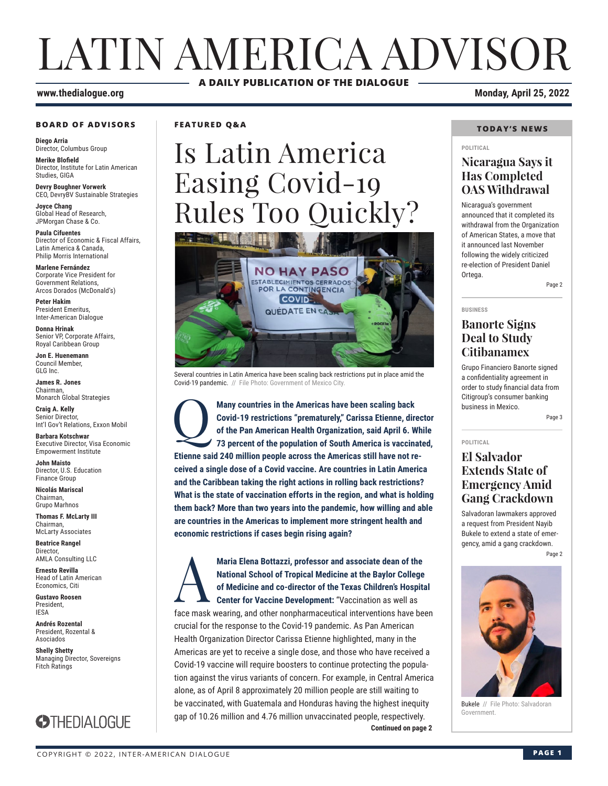## LATIN AMERICA ADVISOR **A DAILY PUBLICATION OF THE DIALOGUE**

#### **BOARD OF ADVISORS**

**Diego Arria** Director, Columbus Group

**Merike Blofield** Director, Institute for Latin American Studies, GIGA

**Devry Boughner Vorwerk** CEO, DevryBV Sustainable Strategies

**Joyce Chang** Global Head of Research, JPMorgan Chase & Co.

**Paula Cifuentes** Director of Economic & Fiscal Affairs, Latin America & Canada, Philip Morris International

**Marlene Fernández** Corporate Vice President for Government Relations, Arcos Dorados (McDonald's)

**Peter Hakim** President Emeritus, Inter-American Dialogue

**Donna Hrinak** Senior VP, Corporate Affairs, Royal Caribbean Group

**Jon E. Huenemann** Council Member, GLG Inc.

**James R. Jones** Chairman, Monarch Global Strategies

**Craig A. Kelly** Senior Director, Int'l Gov't Relations, Exxon Mobil

**Barbara Kotschwar** Executive Director, Visa Economic Empowerment Institute

**John Maisto** Director, U.S. Education Finance Group

**Nicolás Mariscal** Chairman, Grupo Marhnos

**Thomas F. McLarty III** Chairman, McLarty Associates

**Beatrice Rangel Director** AMLA Consulting LLC

**Ernesto Revilla**  Head of Latin American Economics, Citi

**Gustavo Roosen** President, IESA

**Andrés Rozental**  President, Rozental & Asociados

**Shelly Shetty** Managing Director, Sovereigns Fitch Ratings



**FEATURED Q&A**

# Is Latin America Easing Covid-19 Rules Too Quickly?



Several countries in Latin America have been scaling back restrictions put in place amid the Covid-19 pandemic. // File Photo: Government of Mexico City.

Many countries in the Americas have been scaling back Covid-19 restrictions "prematurely," Carissa Etienne, direction of the Pan American Health Organization, said April 6. W<br>73 percent of the population of South America i **Covid-19 restrictions "prematurely," Carissa Etienne, director of the Pan American Health Organization, said April 6. While 73 percent of the population of South America is vaccinated, Etienne said 240 million people across the Americas still have not received a single dose of a Covid vaccine. Are countries in Latin America and the Caribbean taking the right actions in rolling back restrictions? What is the state of vaccination efforts in the region, and what is holding them back? More than two years into the pandemic, how willing and able are countries in the Americas to implement more stringent health and economic restrictions if cases begin rising again?**

**Continued on page 2** Maria Elena Bottazzi, professor and associate dean of the<br>
National School of Tropical Medicine at the Baylor College<br>
of Medicine and co-director of the Texas Children's Hospita<br>
Center for Vaccine Development: "Vaccinati **National School of Tropical Medicine at the Baylor College of Medicine and co-director of the Texas Children's Hospital Center for Vaccine Development:** "Vaccination as well as face mask wearing, and other nonpharmaceutical interventions have been crucial for the response to the Covid-19 pandemic. As Pan American Health Organization Director Carissa Etienne highlighted, many in the Americas are yet to receive a single dose, and those who have received a Covid-19 vaccine will require boosters to continue protecting the population against the virus variants of concern. For example, in Central America alone, as of April 8 approximately 20 million people are still waiting to be vaccinated, with Guatemala and Honduras having the highest inequity gap of 10.26 million and 4.76 million unvaccinated people, respectively.

#### **www.thedialogue.org Monday, April 25, 2022**

#### **TODAY'S NEWS**

#### **POLITICAL**

#### **Nicaragua Says it Has Completed OAS Withdrawal**

Nicaragua's government announced that it completed its withdrawal from the Organization of American States, a move that it announced last November following the widely criticized re-election of President Daniel Ortega.

Page 2

### **BUSINESS**

#### **Banorte Signs Deal to Study Citibanamex**

Grupo Financiero Banorte signed a confidentiality agreement in order to study financial data from Citigroup's consumer banking business in Mexico.

Page 3

#### **POLITICAL**

#### **El Salvador Extends State of Emergency Amid Gang Crackdown**

Salvadoran lawmakers approved a request from President Nayib Bukele to extend a state of emergency, amid a gang crackdown. Page 2



Bukele // File Photo: Salvadoran Government.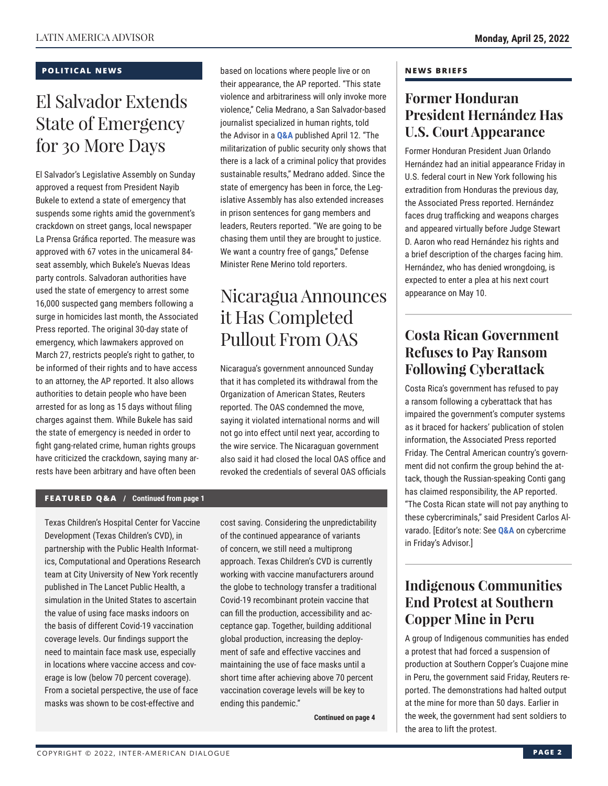#### **POLITICAL NEWS**

## El Salvador Extends State of Emergency for 30 More Days

El Salvador's Legislative Assembly on Sunday approved a request from President Nayib Bukele to extend a state of emergency that suspends some rights amid the government's crackdown on street gangs, local newspaper La Prensa Gráfica reported. The measure was approved with 67 votes in the unicameral 84 seat assembly, which Bukele's Nuevas Ideas party controls. Salvadoran authorities have used the state of emergency to arrest some 16,000 suspected gang members following a surge in homicides last month, the Associated Press reported. The original 30-day state of emergency, which lawmakers approved on March 27, restricts people's right to gather, to be informed of their rights and to have access to an attorney, the AP reported. It also allows authorities to detain people who have been arrested for as long as 15 days without filing charges against them. While Bukele has said the state of emergency is needed in order to fight gang-related crime, human rights groups have criticized the crackdown, saying many arrests have been arbitrary and have often been

based on locations where people live or on their appearance, the AP reported. "This state violence and arbitrariness will only invoke more violence," Celia Medrano, a San Salvador-based journalist specialized in human rights, told the Advisor in a **[Q&A](https://www.thedialogue.org/wp-content/uploads/2022/04/LAA220412.pdf)** published April 12. "The militarization of public security only shows that there is a lack of a criminal policy that provides sustainable results," Medrano added. Since the state of emergency has been in force, the Legislative Assembly has also extended increases in prison sentences for gang members and leaders, Reuters reported. "We are going to be chasing them until they are brought to justice. We want a country free of gangs," Defense Minister Rene Merino told reporters.

## Nicaragua Announces it Has Completed Pullout From OAS

Nicaragua's government announced Sunday that it has completed its withdrawal from the Organization of American States, Reuters reported. The OAS condemned the move, saying it violated international norms and will not go into effect until next year, according to the wire service. The Nicaraguan government also said it had closed the local OAS office and revoked the credentials of several OAS officials

#### **FEATURED Q&A / Continued from page 1**

Texas Children's Hospital Center for Vaccine Development (Texas Children's CVD), in partnership with the Public Health Informatics, Computational and Operations Research team at City University of New York recently published in The Lancet Public Health, a simulation in the United States to ascertain the value of using face masks indoors on the basis of different Covid-19 vaccination coverage levels. Our findings support the need to maintain face mask use, especially in locations where vaccine access and coverage is low (below 70 percent coverage). From a societal perspective, the use of face masks was shown to be cost-effective and

cost saving. Considering the unpredictability of the continued appearance of variants of concern, we still need a multiprong approach. Texas Children's CVD is currently working with vaccine manufacturers around the globe to technology transfer a traditional Covid-19 recombinant protein vaccine that can fill the production, accessibility and acceptance gap. Together, building additional global production, increasing the deployment of safe and effective vaccines and maintaining the use of face masks until a short time after achieving above 70 percent vaccination coverage levels will be key to ending this pandemic."

**Continued on page 4** 

#### **NEWS BRIEFS**

### **Former Honduran President Hernández Has U.S. Court Appearance**

Former Honduran President Juan Orlando Hernández had an initial appearance Friday in U.S. federal court in New York following his extradition from Honduras the previous day, the Associated Press reported. Hernández faces drug trafficking and weapons charges and appeared virtually before Judge Stewart D. Aaron who read Hernández his rights and a brief description of the charges facing him. Hernández, who has denied wrongdoing, is expected to enter a plea at his next court appearance on May 10.

### **Costa Rican Government Refuses to Pay Ransom Following Cyberattack**

Costa Rica's government has refused to pay a ransom following a cyberattack that has impaired the government's computer systems as it braced for hackers' publication of stolen information, the Associated Press reported Friday. The Central American country's government did not confirm the group behind the attack, though the Russian-speaking Conti gang has claimed responsibility, the AP reported. "The Costa Rican state will not pay anything to these cybercriminals," said President Carlos Alvarado. [Editor's note: See **[Q&A](https://www.thedialogue.org/wp-content/uploads/2022/04/LAA220422.pdf)** on cybercrime in Friday's Advisor.]

### **Indigenous Communities End Protest at Southern Copper Mine in Peru**

A group of Indigenous communities has ended a protest that had forced a suspension of production at Southern Copper's Cuajone mine in Peru, the government said Friday, Reuters reported. The demonstrations had halted output at the mine for more than 50 days. Earlier in the week, the government had sent soldiers to the area to lift the protest.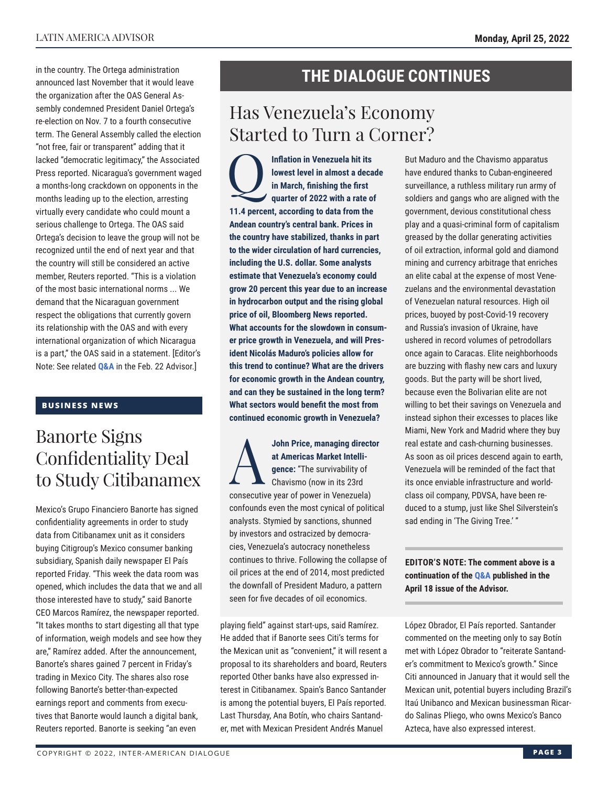in the country. The Ortega administration announced last November that it would leave the organization after the OAS General Assembly condemned President Daniel Ortega's re-election on Nov. 7 to a fourth consecutive term. The General Assembly called the election "not free, fair or transparent" adding that it lacked "democratic legitimacy," the Associated Press reported. Nicaragua's government waged a months-long crackdown on opponents in the months leading up to the election, arresting virtually every candidate who could mount a serious challenge to Ortega. The OAS said Ortega's decision to leave the group will not be recognized until the end of next year and that the country will still be considered an active member, Reuters reported. "This is a violation of the most basic international norms ... We demand that the Nicaraguan government respect the obligations that currently govern its relationship with the OAS and with every international organization of which Nicaragua is a part," the OAS said in a statement. [Editor's Note: See related **[Q&A](https://www.thedialogue.org/wp-content/uploads/2022/02/LAA220222.pdf)** in the Feb. 22 Advisor.]

#### **BUSINESS NEWS**

### Banorte Signs Confidentiality Deal to Study Citibanamex

Mexico's Grupo Financiero Banorte has signed confidentiality agreements in order to study data from Citibanamex unit as it considers buying Citigroup's Mexico consumer banking subsidiary, Spanish daily newspaper El País reported Friday. "This week the data room was opened, which includes the data that we and all those interested have to study," said Banorte CEO Marcos Ramírez, the newspaper reported. "It takes months to start digesting all that type of information, weigh models and see how they are," Ramírez added. After the announcement, Banorte's shares gained 7 percent in Friday's trading in Mexico City. The shares also rose following Banorte's better-than-expected earnings report and comments from executives that Banorte would launch a digital bank, Reuters reported. Banorte is seeking "an even

### **THE DIALOGUE CONTINUES**

### Has Venezuela's Economy Started to Turn a Corner?

Inflation in Venezuela hit its<br>
lowest level in almost a deca<br>
in March, finishing the first<br>
quarter of 2022 with a rate of **lowest level in almost a decade in March, finishing the first quarter of 2022 with a rate of 11.4 percent, according to data from the Andean country's central bank. Prices in the country have stabilized, thanks in part to the wider circulation of hard currencies, including the U.S. dollar. Some analysts estimate that Venezuela's economy could grow 20 percent this year due to an increase in hydrocarbon output and the rising global price of oil, Bloomberg News reported. What accounts for the slowdown in consumer price growth in Venezuela, and will President Nicolás Maduro's policies allow for this trend to continue? What are the drivers for economic growth in the Andean country, and can they be sustained in the long term? What sectors would benefit the most from continued economic growth in Venezuela?**

John Price, managing director<br>at Americas Market Intelli-<br>gence: "The survivability of<br>chavismo (now in its 23rd **at Americas Market Intelligence:** "The survivability of Chavismo (now in its 23rd consecutive year of power in Venezuela) confounds even the most cynical of political analysts. Stymied by sanctions, shunned by investors and ostracized by democracies, Venezuela's autocracy nonetheless continues to thrive. Following the collapse of oil prices at the end of 2014, most predicted the downfall of President Maduro, a pattern seen for five decades of oil economics.

playing field" against start-ups, said Ramírez. He added that if Banorte sees Citi's terms for the Mexican unit as "convenient," it will resent a proposal to its shareholders and board, Reuters reported Other banks have also expressed interest in Citibanamex. Spain's Banco Santander is among the potential buyers, El País reported. Last Thursday, Ana Botín, who chairs Santander, met with Mexican President Andrés Manuel

But Maduro and the Chavismo apparatus have endured thanks to Cuban-engineered surveillance, a ruthless military run army of soldiers and gangs who are aligned with the government, devious constitutional chess play and a quasi-criminal form of capitalism greased by the dollar generating activities of oil extraction, informal gold and diamond mining and currency arbitrage that enriches an elite cabal at the expense of most Venezuelans and the environmental devastation of Venezuelan natural resources. High oil prices, buoyed by post-Covid-19 recovery and Russia's invasion of Ukraine, have ushered in record volumes of petrodollars once again to Caracas. Elite neighborhoods are buzzing with flashy new cars and luxury goods. But the party will be short lived, because even the Bolivarian elite are not willing to bet their savings on Venezuela and instead siphon their excesses to places like Miami, New York and Madrid where they buy real estate and cash-churning businesses. As soon as oil prices descend again to earth, Venezuela will be reminded of the fact that its once enviable infrastructure and worldclass oil company, PDVSA, have been reduced to a stump, just like Shel Silverstein's sad ending in 'The Giving Tree.' "

#### **EDITOR'S NOTE: The comment above is a continuation of th[e Q&A pu](https://www.thedialogue.org/wp-content/uploads/2022/04/LAA220418.pdf)blished in the April 18 issue of the Advisor.**

López Obrador, El País reported. Santander commented on the meeting only to say Botín met with López Obrador to "reiterate Santander's commitment to Mexico's growth." Since Citi announced in January that it would sell the Mexican unit, potential buyers including Brazil's Itaú Unibanco and Mexican businessman Ricardo Salinas Pliego, who owns Mexico's Banco Azteca, have also expressed interest.